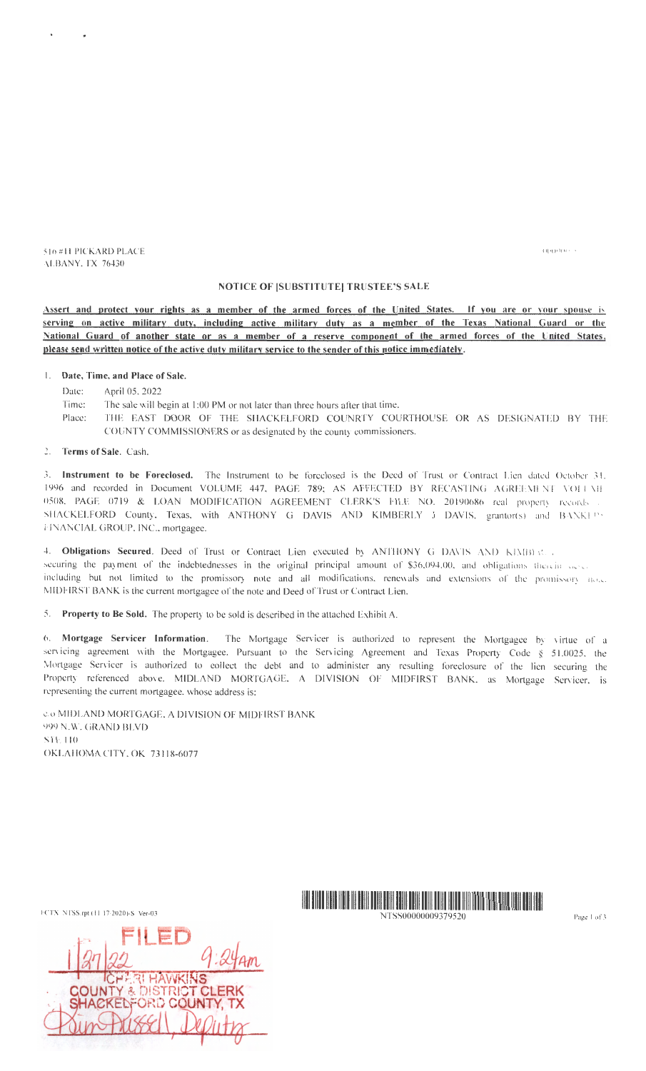$($  )()( $($   $)$ ( $($   $)$   $($   $)$   $($   $)$   $($   $)$   $($   $)$ 

516 #11 PICKARD PLACE ALBANY, TX 76430

# NOTICE OF [SUBSTITUTE] TRUSTEE'S SALE

Assert and protect your rights as a member of the armed forces of the United States. If you are or your spouse is serving on active military duty, including active military duty as a member of the Texas National Guard or the National Guard of another state or as a member of a reserve component of the armed forces of the United States, please send written notice of the active duty military service to the sender of this notice immediately.

### 1. Date, Time, and Place of Sale.

- Date: April 05, 2022
- Time: The sale will begin at 1:00 PM or not later than three hours after that time.
- Place: THE EAST DOOR OF THE SHACKELFORD COUNRTY COURTHOUSE OR AS DESIGNATED BY THE COUNTY COMMISSIONERS or as designated by the county commissioners.
- 2. Terms of Sale. Cash.

3. Instrument to be Foreclosed. The Instrument to be forcelosed is the Deed of Trust or Contract Lien dated October 31. 1996 and recorded in Document VOLUME 447, PAGE 789; AS AFFECTED BY RECASTING AGREEMENT VOLUME 0508. PAGE 0719 & LOAN MODIFICATION AGREEMENT CLERK'S FILE NO. 20190686 real property records SHACKELFORD County, Texas, with ANTHONY G DAVIS AND KIMBERLY J DAVIS, grantor(s) and BANKEPS I· INANCIAL GROUP, INC., mortgagee.

4. Obligations Secured. Deed of Trust or Contract Lien executed by ANTHONY G DAVIS AND KIMBIEL. securing the payment of the indebtednesses in the original principal amount of \$36.094.00, and obligations therein desce including but not limited to the promissory note and all modifications, renewals and extensions of the promissory note. MIDFIRST BANK is the current mortgagee of the note and Deed of Trust or Contract Lien.

5. Property to Be Sold. The property to be sold is described in the attached Exhibit A.

6. Mortgage Servicer Information. The Mortgage Servicer is authorized to represent the Mortgagee by virtue of a servicing agreement with the Mortgagee. Pursuant to the Servicing Agreement and Texas Property Code § 51.0025, the Mortgage Servicer is authorized to eollect the debt and to administer any resulting foreclosure of the lien securing the Property referenced above. MIDLAND MORTGAGE, A DIVISION OF MIDFIRST BANK, as Mortgage Servicer, is representing the current mortgagee, whose address is:

c.o MIDLAND MORTGAGE, A DIVISION OF MIDFIRST BANK 999 N.W. GRAND BLVD STE 110 OKLAHOMA CITY, OK 73118-6077

|  | $\cdots$            | FII ED |                                                              |  |
|--|---------------------|--------|--------------------------------------------------------------|--|
|  |                     |        | $\nu_{\mathbf{a}\mathbf{m}}$                                 |  |
|  | <b>CHERLHAWKINS</b> |        | <b>COUNTY &amp; DISTRICT CLERK</b><br>SHACKELFORD COUNTY, TX |  |
|  | rissell             |        |                                                              |  |
|  |                     |        |                                                              |  |

FCTX NTSS .rpt ( 11/ 1712020)-S Ver-03 llll lllll lllll lllll Ill lllll lllll lllll lllll lllll lllll lllll lllll 1111111111 11111111111111111111111

NTSS00000009379520 Page I of *3*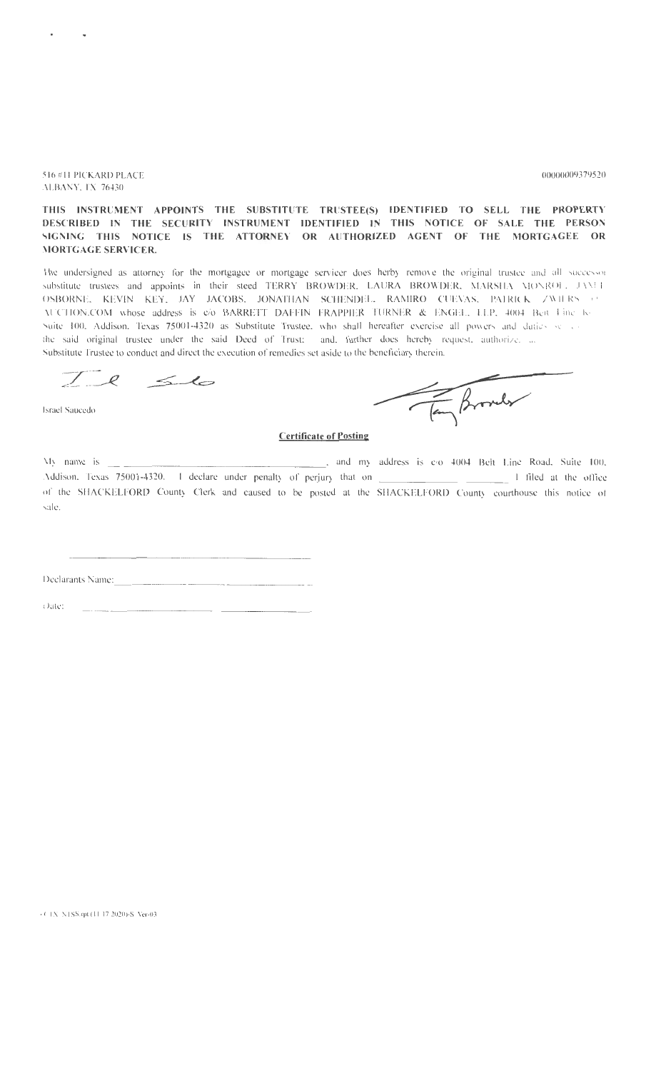516 #11 PICKARD PLACE ALBANY, IX 76430

#### 00000009379520

# THIS INSTRUMENT APPOINTS THE SUBSTITUTE TRUSTEE(S) IDENTIFIED TO SELL THE PROPERTY DESCRIBED IN THE SECURITY INSTRUMENT IDENTIFIED IN THIS NOTICE OF SALE THE PERSON<br>SIGNING THIS NOTICE IS THE ATTORNEY OR AUTHORIZED AGENT OF THE MORTGAGEE OR **MORTGAGE SERVICER.**

The undersigned as attorney for the mortgagee or mortgage servicer does herby remove the original trustee and all successor substitute trustees and appoints in their steed TERRY BROWDER, LAURA BROWDER, MARSHA MONROL, JAMET OSBORNE, KEVIN KEY, JAY JACOBS, JONATHAN SCHENDEL, RAMIRO CUEVAS, PAIRICK ZWIERS OF AUCTION.COM whose address is e/o BARRETT DAFFIN FRAPPIER TURNER & ENGEL, LLP, 4004 Beit Line K-Suite 100, Addison, Texas 75001-4320 as Substitute Trustee, who shall hereafter exercise all powers and daties served the said original trustee under the said Deed of Trust; and, further does hereby request, authorize, ... Substitute Trustee to conduct and direct the execution of remedies set aside to the beneficiary therein.

 $Ie$   $56$ 

**Israel Saucedo** 

Tay Browler

## **Certificate of Posting**

... and my address is e/o 4004 Belt Line Road. Suite 100, My name is  $\frac{1}{\sqrt{1-\frac{1}{\sqrt{1-\frac{1}{\sqrt{1-\frac{1}{\sqrt{1-\frac{1}{\sqrt{1-\frac{1}{\sqrt{1-\frac{1}{\sqrt{1-\frac{1}{\sqrt{1-\frac{1}{\sqrt{1-\frac{1}{\sqrt{1-\frac{1}{\sqrt{1-\frac{1}{\sqrt{1-\frac{1}{\sqrt{1-\frac{1}{\sqrt{1-\frac{1}{\sqrt{1-\frac{1}{\sqrt{1-\frac{1}{\sqrt{1-\frac{1}{\sqrt{1-\frac{1}{\sqrt{1-\frac{1}{\sqrt{1-\frac{1}{\sqrt{1-\frac{1}{\sqrt{1-\frac{1}{\sqrt{1-\frac{1}{\sqrt{1-\frac{1$ Addison, Texas 75001-4320. I declare under penalty of perjury that on \_\_\_\_\_\_\_\_\_ of the SHACKELFORD County Clerk and caused to be posted at the SHACKELFORD County courthouse this notice of  $\sin \theta$ 

Declarants Name:

(Jate)

 $+$  C +X -NTSS,rpt (11-17-2020)-S -Ver-03